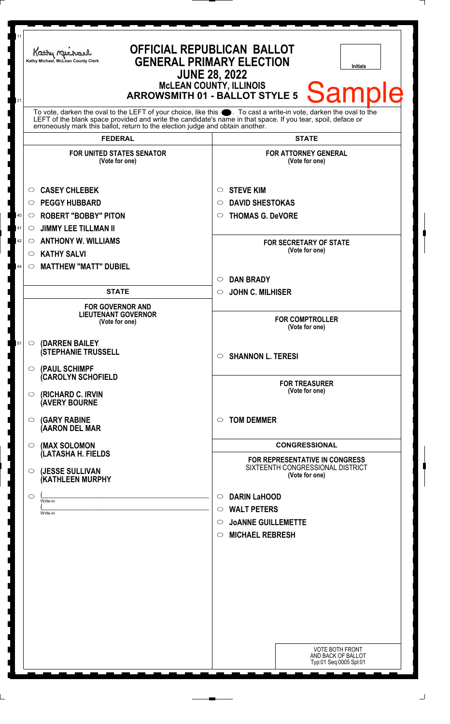| 11<br><b>OFFICIAL REPUBLICAN BALLOT</b><br>Kathy Michael<br><b>GENERAL PRIMARY ELECTION</b><br>Kathy Michael, McLean County Clerk<br><b>Initials</b><br><b>JUNE 28, 2022</b><br><b>MCLEAN COUNTY, ILLINOIS</b><br>Sampl<br><b>ARROWSMITH 01 - BALLOT STYLE 5</b>                                                          |  |                                                                                                                                                                                                 |                                                                 |                                                                                                                                                                                                                                                                           |  |                                                                           |  |
|---------------------------------------------------------------------------------------------------------------------------------------------------------------------------------------------------------------------------------------------------------------------------------------------------------------------------|--|-------------------------------------------------------------------------------------------------------------------------------------------------------------------------------------------------|-----------------------------------------------------------------|---------------------------------------------------------------------------------------------------------------------------------------------------------------------------------------------------------------------------------------------------------------------------|--|---------------------------------------------------------------------------|--|
| 21<br>To vote, darken the oval to the LEFT of your choice, like this ●. To cast a write-in vote, darken the oval to the<br>LEFT of the blank space provided and write the candidate's name in that space. If you tear, spoil, deface or<br>erroneously mark this ballot, return to the election judge and obtain another. |  |                                                                                                                                                                                                 |                                                                 |                                                                                                                                                                                                                                                                           |  |                                                                           |  |
| <b>FEDERAL</b>                                                                                                                                                                                                                                                                                                            |  | <b>STATE</b>                                                                                                                                                                                    |                                                                 |                                                                                                                                                                                                                                                                           |  |                                                                           |  |
| <b>FOR UNITED STATES SENATOR</b><br>(Vote for one)                                                                                                                                                                                                                                                                        |  | <b>FOR ATTORNEY GENERAL</b><br>(Vote for one)                                                                                                                                                   |                                                                 |                                                                                                                                                                                                                                                                           |  |                                                                           |  |
| <b>CASEY CHLEBEK</b><br>O<br><b>PEGGY HUBBARD</b><br>O<br><b>ROBERT "BOBBY" PITON</b><br>40<br>$\circ$<br><b>JIMMY LEE TILLMAN II</b><br>41<br>$\circ$                                                                                                                                                                    |  | <b>STEVE KIM</b><br>O<br><b>DAVID SHESTOKAS</b><br>O<br><b>THOMAS G. DeVORE</b><br>$\circ$                                                                                                      |                                                                 |                                                                                                                                                                                                                                                                           |  |                                                                           |  |
| <b>ANTHONY W. WILLIAMS</b><br>42<br>$\circ$<br><b>KATHY SALVI</b><br>$\circ$                                                                                                                                                                                                                                              |  | <b>FOR SECRETARY OF STATE</b><br>(Vote for one)                                                                                                                                                 |                                                                 |                                                                                                                                                                                                                                                                           |  |                                                                           |  |
| <b>MATTHEW "MATT" DUBIEL</b><br>44<br>$\circ$<br><b>STATE</b>                                                                                                                                                                                                                                                             |  | <b>DAN BRADY</b><br>$\circ$                                                                                                                                                                     |                                                                 |                                                                                                                                                                                                                                                                           |  |                                                                           |  |
| <b>FOR GOVERNOR AND</b><br><b>LIEUTENANT GOVERNOR</b><br>(Vote for one)<br>(DARREN BAILEY<br>51<br>$\circ$<br><b>(STEPHANIE TRUSSELL</b><br>(PAUL SCHIMPF<br>$\circ$<br>(CAROLYN SCHOFIELD<br>(RICHARD C. IRVIN<br>O<br><b>(AVERY BOURNE</b><br><b>(GARY RABINE</b><br>◯<br>(AARON DEL MAR                                |  | <b>JOHN C. MILHISER</b><br>$\circ$<br><b>FOR COMPTROLLER</b><br>(Vote for one)<br><b>SHANNON L. TERESI</b><br>$\circ$<br><b>FOR TREASURER</b><br>(Vote for one)<br><b>TOM DEMMER</b><br>$\circ$ |                                                                 |                                                                                                                                                                                                                                                                           |  |                                                                           |  |
|                                                                                                                                                                                                                                                                                                                           |  |                                                                                                                                                                                                 |                                                                 | (MAX SOLOMON<br>$\circ$                                                                                                                                                                                                                                                   |  | <b>CONGRESSIONAL</b>                                                      |  |
|                                                                                                                                                                                                                                                                                                                           |  |                                                                                                                                                                                                 |                                                                 | (LATASHA H. FIELDS<br>(JESSE SULLIVAN<br>$\circ$<br>(Vote for one)<br>(KATHLEEN MURPHY<br><b>DARIN LaHOOD</b><br>$\circ$<br>$\circ$<br>Write-in<br><b>WALT PETERS</b><br>$\circ$<br>Write-in<br><b>JOANNE GUILLEMETTE</b><br>$\circ$<br><b>MICHAEL REBRESH</b><br>$\circ$ |  | <b>FOR REPRESENTATIVE IN CONGRESS</b><br>SIXTEENTH CONGRESSIONAL DISTRICT |  |
|                                                                                                                                                                                                                                                                                                                           |  |                                                                                                                                                                                                 |                                                                 |                                                                                                                                                                                                                                                                           |  |                                                                           |  |
|                                                                                                                                                                                                                                                                                                                           |  |                                                                                                                                                                                                 | VOTE BOTH FRONT<br>AND BACK OF BALLOT<br>Typ:01 Seq:0005 Spl:01 |                                                                                                                                                                                                                                                                           |  |                                                                           |  |

٦

٦  $\overline{\phantom{a}}$ 

٦

I 

٦

]<br>]<br>]

j J ر<br>ر

> $\overline{a}$ I

<u>ן</u> ٦ Ī I ٦ ٦

 $\overline{a}$ I <u>ן</u> J J

|<br>|<br>|

 $\overline{\phantom{a}}$ 

٦ 

]<br>]

 $\overline{\phantom{a}}$ 

I J

|<br>|<br>|